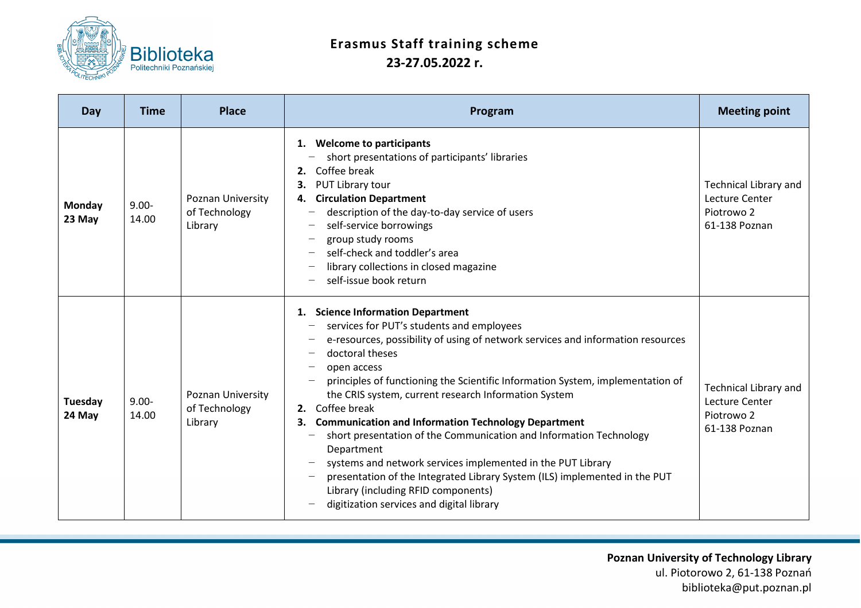

## **Erasmus Staff training scheme 23-27.05.2022 r.**

| Day               | <b>Time</b>       | <b>Place</b>                                  | Program                                                                                                                                                                                                                                                                                                                                                                                                                                                                                                                                                                                                                                                                                                                                                      | <b>Meeting point</b>                                                                     |
|-------------------|-------------------|-----------------------------------------------|--------------------------------------------------------------------------------------------------------------------------------------------------------------------------------------------------------------------------------------------------------------------------------------------------------------------------------------------------------------------------------------------------------------------------------------------------------------------------------------------------------------------------------------------------------------------------------------------------------------------------------------------------------------------------------------------------------------------------------------------------------------|------------------------------------------------------------------------------------------|
| Monday<br>23 May  | $9.00 -$<br>14.00 | Poznan University<br>of Technology<br>Library | 1. Welcome to participants<br>short presentations of participants' libraries<br>Coffee break<br>2.<br>PUT Library tour<br><b>Circulation Department</b><br>4.<br>description of the day-to-day service of users<br>self-service borrowings<br>group study rooms<br>self-check and toddler's area<br>library collections in closed magazine<br>self-issue book return                                                                                                                                                                                                                                                                                                                                                                                         | Technical Library and<br>Lecture Center<br>Piotrowo 2<br>61-138 Poznan                   |
| Tuesday<br>24 May | $9.00 -$<br>14.00 | Poznan University<br>of Technology<br>Library | 1. Science Information Department<br>services for PUT's students and employees<br>e-resources, possibility of using of network services and information resources<br>doctoral theses<br>open access<br>principles of functioning the Scientific Information System, implementation of<br>the CRIS system, current research Information System<br>Coffee break<br>2.<br><b>Communication and Information Technology Department</b><br>3.<br>short presentation of the Communication and Information Technology<br>Department<br>systems and network services implemented in the PUT Library<br>presentation of the Integrated Library System (ILS) implemented in the PUT<br>Library (including RFID components)<br>digitization services and digital library | <b>Technical Library and</b><br>Lecture Center<br>Piotrowo <sub>2</sub><br>61-138 Poznan |